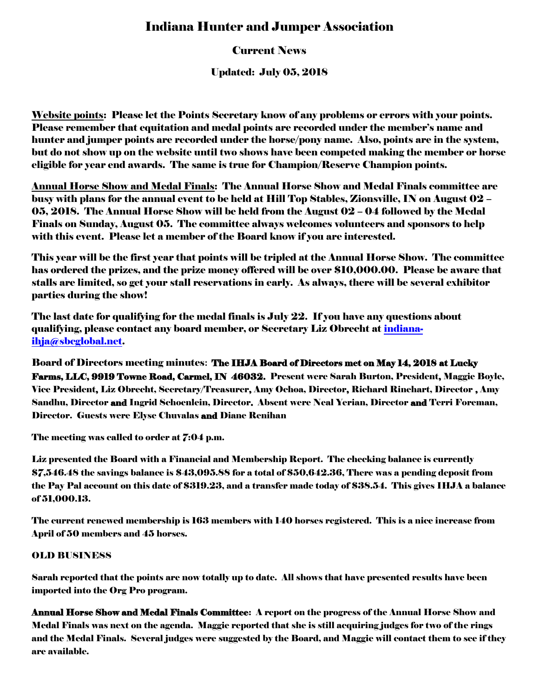## Indiana Hunter and Jumper Association

Current News

Updated: July 05, 2018

Website points: Please let the Points Secretary know of any problems or errors with your points. Please remember that equitation and medal points are recorded under the member's name and hunter and jumper points are recorded under the horse/pony name. Also, points are in the system, but do not show up on the website until two shows have been competed making the member or horse eligible for year end awards. The same is true for Champion/Reserve Champion points.

Annual Horse Show and Medal Finals: The Annual Horse Show and Medal Finals committee are busy with plans for the annual event to be held at Hill Top Stables, Zionsville, IN on August 02 – 05, 2018. The Annual Horse Show will be held from the August 02 – 04 followed by the Medal Finals on Sunday, August 05. The committee always welcomes volunteers and sponsors to help with this event. Please let a member of the Board know if you are interested.

This year will be the first year that points will be tripled at the Annual Horse Show. The committee has ordered the prizes, and the prize money offered will be over \$10,000.00. Please be aware that stalls are limited, so get your stall reservations in early. As always, there will be several exhibitor parties during the show!

The last date for qualifying for the medal finals is July 22. If you have any questions about qualifying, please contact any board member, or Secretary Liz Obrecht at *indiana*[ihja@sbcglobal.net.](mailto:indiana-ihja@sbcglobal.net)

Board of Directors meeting minutes**:** The IHJA Board of Directors met on May 14, 2018 at Lucky Farms, LLC, 9919 Towne Road, Carmel, IN 46032. Present were Sarah Burton, President, Maggie Boyle, Vice President, Liz Obrecht, Secretary/Treasurer, Amy Ochoa, Director, Richard Rinehart, Director , Amy Sandhu, Director and Ingrid Schoenlein, Director. Absent were Neal Yerian, Director and Terri Foreman, Director. Guests were Elyse Chuvalas and Diane Renihan

The meeting was called to order at 7:04 p.m.

Liz presented the Board with a Financial and Membership Report. The checking balance is currently \$7,546.48 the savings balance is \$43,095.88 for a total of \$50,642.36, There was a pending deposit from the Pay Pal account on this date of \$319.23, and a transfer made today of \$38.54. This gives IHJA a balance of 51,000.13.

The current renewed membership is 163 members with 140 horses registered. This is a nice increase from April of 50 members and 45 horses.

## OLD BUSINESS

Sarah reported that the points are now totally up to date. All shows that have presented results have been imported into the Org Pro program.

Annual Horse Show and Medal Finals Committee: A report on the progress of the Annual Horse Show and Medal Finals was next on the agenda. Maggie reported that she is still acquiring judges for two of the rings and the Medal Finals. Several judges were suggested by the Board, and Maggie will contact them to see if they are available.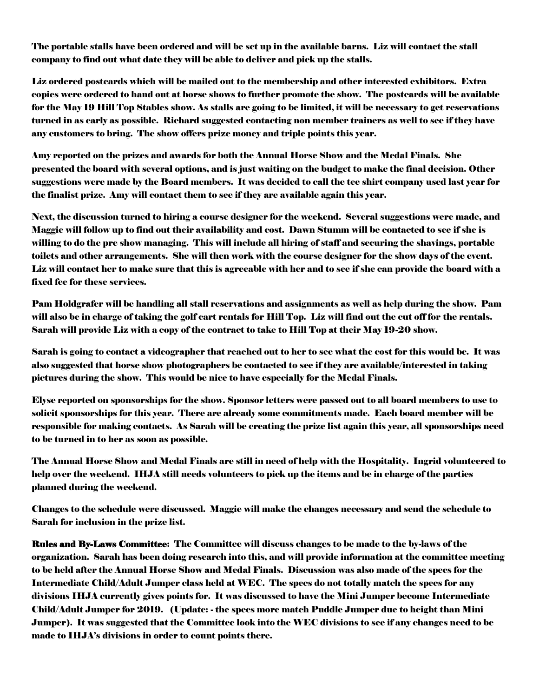The portable stalls have been ordered and will be set up in the available barns. Liz will contact the stall company to find out what date they will be able to deliver and pick up the stalls.

Liz ordered postcards which will be mailed out to the membership and other interested exhibitors. Extra copies were ordered to hand out at horse shows to further promote the show. The postcards will be available for the May 19 Hill Top Stables show. As stalls are going to be limited, it will be necessary to get reservations turned in as early as possible. Richard suggested contacting non member trainers as well to see if they have any customers to bring. The show offers prize money and triple points this year.

Amy reported on the prizes and awards for both the Annual Horse Show and the Medal Finals. She presented the board with several options, and is just waiting on the budget to make the final decision. Other suggestions were made by the Board members. It was decided to call the tee shirt company used last year for the finalist prize. Amy will contact them to see if they are available again this year.

Next, the discussion turned to hiring a course designer for the weekend. Several suggestions were made, and Maggie will follow up to find out their availability and cost. Dawn Stumm will be contacted to see if she is willing to do the pre show managing. This will include all hiring of staff and securing the shavings, portable toilets and other arrangements. She will then work with the course designer for the show days of the event. Liz will contact her to make sure that this is agreeable with her and to see if she can provide the board with a fixed fee for these services.

Pam Holdgrafer will be handling all stall reservations and assignments as well as help during the show. Pam will also be in charge of taking the golf cart rentals for Hill Top. Liz will find out the cut off for the rentals. Sarah will provide Liz with a copy of the contract to take to Hill Top at their May 19-20 show.

Sarah is going to contact a videographer that reached out to her to see what the cost for this would be. It was also suggested that horse show photographers be contacted to see if they are available/interested in taking pictures during the show. This would be nice to have especially for the Medal Finals.

Elyse reported on sponsorships for the show. Sponsor letters were passed out to all board members to use to solicit sponsorships for this year. There are already some commitments made. Each board member will be responsible for making contacts. As Sarah will be creating the prize list again this year, all sponsorships need to be turned in to her as soon as possible.

The Annual Horse Show and Medal Finals are still in need of help with the Hospitality. Ingrid volunteered to help over the weekend. IHJA still needs volunteers to pick up the items and be in charge of the parties planned during the weekend.

Changes to the schedule were discussed. Maggie will make the changes necessary and send the schedule to Sarah for inclusion in the prize list.

Rules and By-Laws Committee: The Committee will discuss changes to be made to the by-laws of the organization. Sarah has been doing research into this, and will provide information at the committee meeting to be held after the Annual Horse Show and Medal Finals. Discussion was also made of the specs for the Intermediate Child/Adult Jumper class held at WEC. The specs do not totally match the specs for any divisions IHJA currently gives points for. It was discussed to have the Mini Jumper become Intermediate Child/Adult Jumper for 2019. (Update: - the specs more match Puddle Jumper due to height than Mini Jumper). It was suggested that the Committee look into the WEC divisions to see if any changes need to be made to IHJA's divisions in order to count points there.